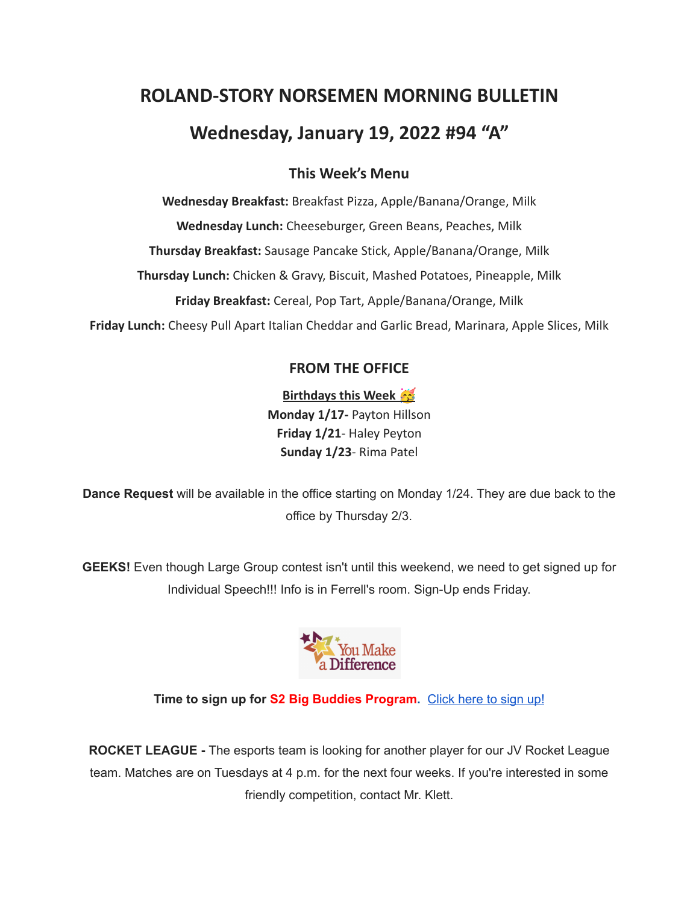# **ROLAND-STORY NORSEMEN MORNING BULLETIN**

# **Wednesday, January 19, 2022 #94 "A"**

## **This Week's Menu**

**Wednesday Breakfast:** Breakfast Pizza, Apple/Banana/Orange, Milk **Wednesday Lunch:** Cheeseburger, Green Beans, Peaches, Milk **Thursday Breakfast:** Sausage Pancake Stick, Apple/Banana/Orange, Milk **Thursday Lunch:** Chicken & Gravy, Biscuit, Mashed Potatoes, Pineapple, Milk **Friday Breakfast:** Cereal, Pop Tart, Apple/Banana/Orange, Milk **Friday Lunch:** Cheesy Pull Apart Italian Cheddar and Garlic Bread, Marinara, Apple Slices, Milk

## **FROM THE OFFICE**

**Birthdays this Week Monday 1/17-** Payton Hillson **Friday 1/21**- Haley Peyton **Sunday 1/23**- Rima Patel

**Dance Request** will be available in the office starting on Monday 1/24. They are due back to the office by Thursday 2/3.

**GEEKS!** Even though Large Group contest isn't until this weekend, we need to get signed up for Individual Speech!!! Info is in Ferrell's room. Sign-Up ends Friday.



**Time to sign up for S2 Big Buddies Program.** [Click](https://docs.google.com/forms/d/e/1FAIpQLScEfMWk-lsFYGzpe0Yn6ky9dqYu7j6368TGcUHByQAIutY4OA/viewform?usp=sf_link) here to sign up!

**ROCKET LEAGUE -** The esports team is looking for another player for our JV Rocket League team. Matches are on Tuesdays at 4 p.m. for the next four weeks. If you're interested in some friendly competition, contact Mr. Klett.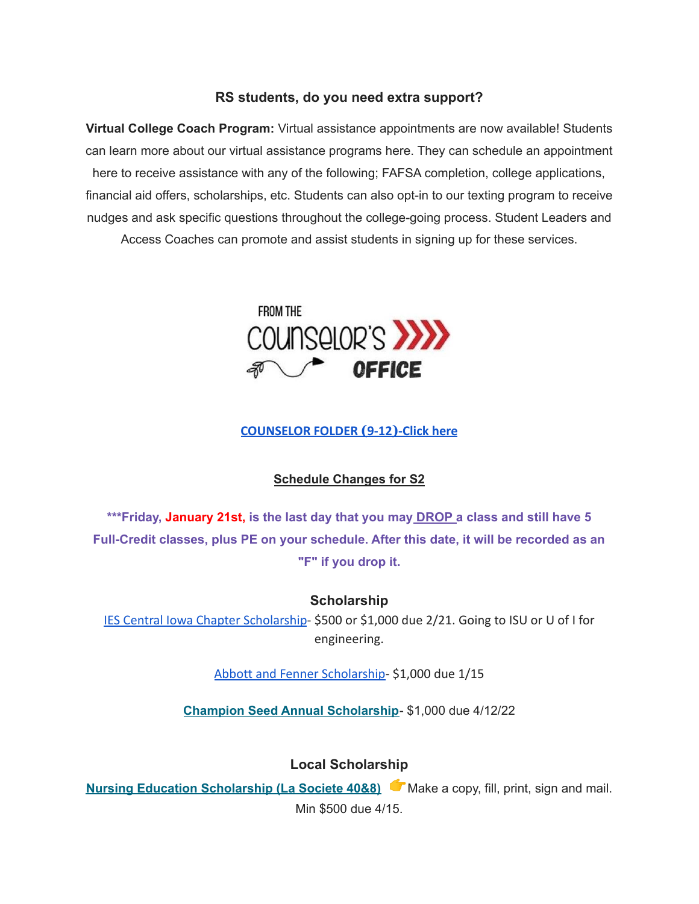#### **RS students, do you need extra support?**

**Virtual College Coach Program:** Virtual assistance appointments are now available! Students can learn more about our virtual assistance programs here. They can schedule an appointment here to receive assistance with any of the following; FAFSA completion, college applications, financial aid offers, scholarships, etc. Students can also opt-in to our texting program to receive nudges and ask specific questions throughout the college-going process. Student Leaders and Access Coaches can promote and assist students in signing up for these services.



#### **[COUNSELOR FOLDER](https://docs.google.com/document/d/1vmwczNPbDzXe9vFaG5LJMQ7NYDv-i4oQJHybqA65TUc/edit?usp=sharing) (9-12)-Click here**

#### **Schedule Changes for S2**

**\*\*\*Friday, January 21st, is the last day that you may DROP a class and still have 5 Full-Credit classes, plus PE on your schedule. After this date, it will be recorded as an "F" if you drop it.**

**Scholarship**

[IES Central Iowa Chapter Scholarship](https://drive.google.com/file/d/1TOCO584mY9ObCqCNa6kBs_Yjrn4wPSdj/view?usp=sharing)- \$500 or \$1,000 due 2/21. Going to ISU or U of I for engineering.

[Abbott and Fenner Scholarship-](https://abbottandfenner.com/scholarships.php) \$1,000 due 1/15

**Champion Seed Annual [Scholarship](https://www.plantchampion.com/about/scholarship/)**- \$1,000 due 4/12/22

**Local Scholarship**

**Nursing Education [Scholarship](https://docs.google.com/document/d/1xp-Gg2v_kfzzaIsmco9l2tbpQI6T93L71SJzPYrDpOA/edit?usp=sharing) (La Societe 40&8)** Make a copy, fill, print, sign and mail. Min \$500 due 4/15.